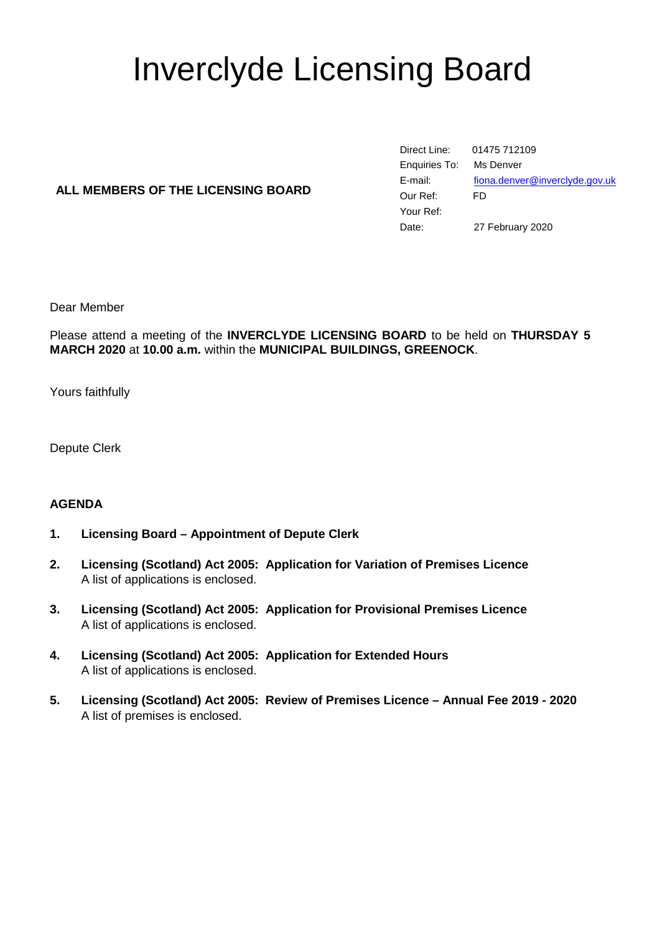# Inverclyde Licensing Board

# **ALL MEMBERS OF THE LICENSING BOARD**

Direct Line: 01475 712109 Enquiries To: Ms Denver E-mail: [fiona.denver@inverclyde.gov.uk](mailto:fiona.denver@inverclyde.gov.uk) Our Ref: FD Your Ref: Date: 27 February 2020

Dear Member

Please attend a meeting of the **INVERCLYDE LICENSING BOARD** to be held on **THURSDAY 5 MARCH 2020** at **10.00 a.m.** within the **MUNICIPAL BUILDINGS, GREENOCK**.

Yours faithfully

Depute Clerk

# **AGENDA**

- **1. Licensing Board – Appointment of Depute Clerk**
- **2. Licensing (Scotland) Act 2005: Application for Variation of Premises Licence** A list of applications is enclosed.
- **3. Licensing (Scotland) Act 2005: Application for Provisional Premises Licence** A list of applications is enclosed.
- **4. Licensing (Scotland) Act 2005: Application for Extended Hours** A list of applications is enclosed.
- **5. Licensing (Scotland) Act 2005: Review of Premises Licence – Annual Fee 2019 - 2020** A list of premises is enclosed.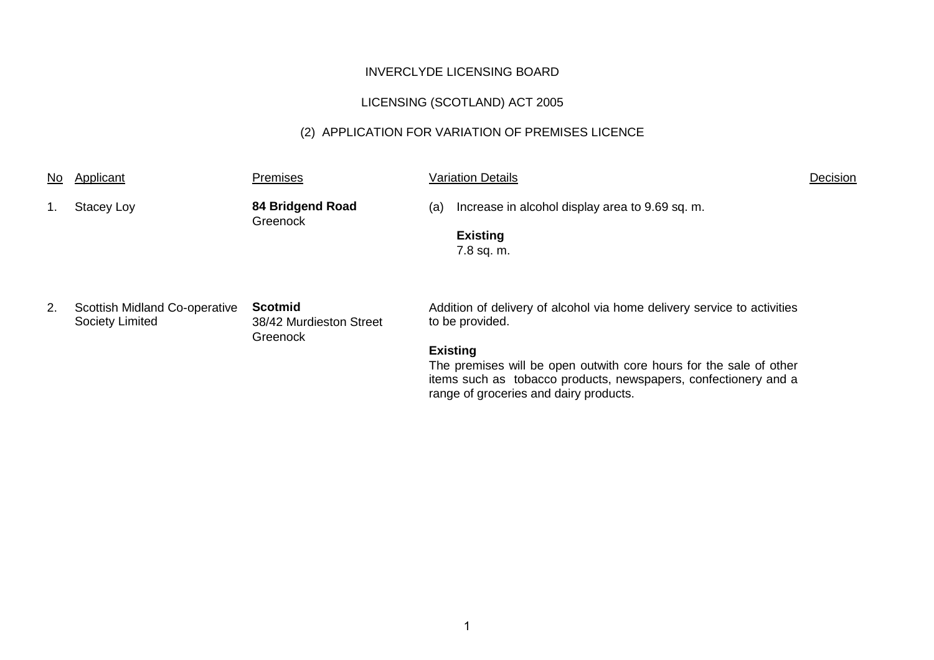# LICENSING (SCOTLAND) ACT 2005

# (2) APPLICATION FOR VARIATION OF PREMISES LICENCE

| No. | Applicant                                               | <b>Premises</b>                                |     | <b>Variation Details</b>                                                                                                                                                                                                                                                                         | Decision |
|-----|---------------------------------------------------------|------------------------------------------------|-----|--------------------------------------------------------------------------------------------------------------------------------------------------------------------------------------------------------------------------------------------------------------------------------------------------|----------|
|     | Stacey Loy                                              | 84 Bridgend Road<br>Greenock                   | (a) | Increase in alcohol display area to 9.69 sq. m.<br><b>Existing</b><br>7.8 sq. m.                                                                                                                                                                                                                 |          |
| 2.  | Scottish Midland Co-operative<br><b>Society Limited</b> | Scotmid<br>38/42 Murdieston Street<br>Greenock |     | Addition of delivery of alcohol via home delivery service to activities<br>to be provided.<br><b>Existing</b><br>The premises will be open outwith core hours for the sale of other<br>items such as tobacco products, newspapers, confectionery and a<br>range of groceries and dairy products. |          |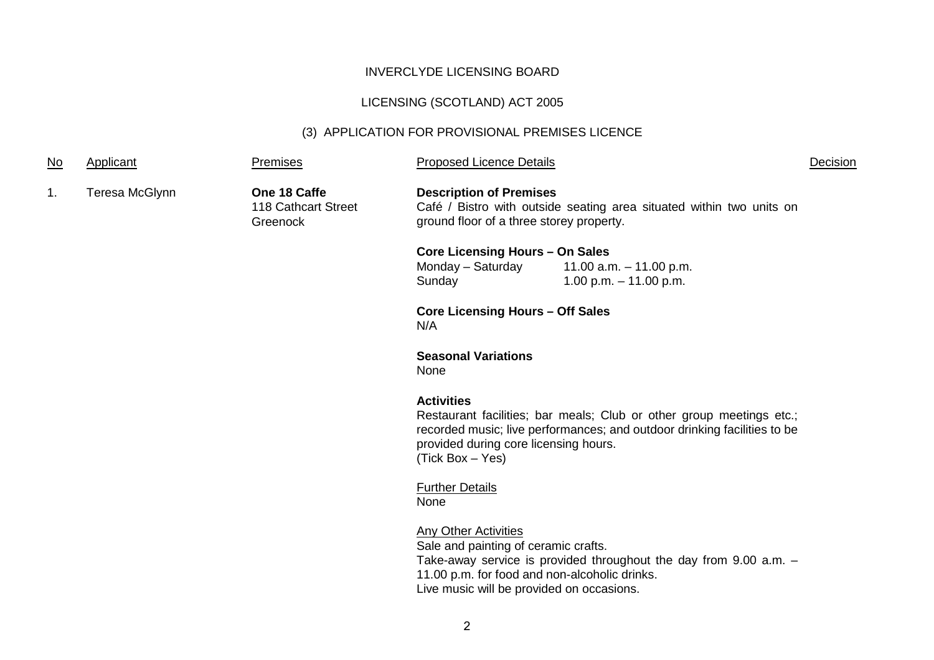# LICENSING (SCOTLAND) ACT 2005

# (3) APPLICATION FOR PROVISIONAL PREMISES LICENCE

| <u>No</u> | Applicant      | <b>Premises</b>                                 | <b>Proposed Licence Details</b>                                                                                                                                   |                                                                                                                                                  | Decision |
|-----------|----------------|-------------------------------------------------|-------------------------------------------------------------------------------------------------------------------------------------------------------------------|--------------------------------------------------------------------------------------------------------------------------------------------------|----------|
| 1.        | Teresa McGlynn | One 18 Caffe<br>118 Cathcart Street<br>Greenock | <b>Description of Premises</b><br>Café / Bistro with outside seating area situated within two units on<br>ground floor of a three storey property.                |                                                                                                                                                  |          |
|           |                |                                                 | <b>Core Licensing Hours - On Sales</b><br>Monday - Saturday<br>Sunday                                                                                             | 11.00 a.m. $-$ 11.00 p.m.<br>1.00 p.m. $-$ 11.00 p.m.                                                                                            |          |
|           |                |                                                 | <b>Core Licensing Hours - Off Sales</b><br>N/A                                                                                                                    |                                                                                                                                                  |          |
|           |                |                                                 | <b>Seasonal Variations</b><br>None                                                                                                                                |                                                                                                                                                  |          |
|           |                |                                                 | <b>Activities</b><br>provided during core licensing hours.<br>(Tick Box - Yes)                                                                                    | Restaurant facilities; bar meals; Club or other group meetings etc.;<br>recorded music; live performances; and outdoor drinking facilities to be |          |
|           |                |                                                 | <b>Further Details</b><br>None                                                                                                                                    |                                                                                                                                                  |          |
|           |                |                                                 | <b>Any Other Activities</b><br>Sale and painting of ceramic crafts.<br>11.00 p.m. for food and non-alcoholic drinks.<br>Live music will be provided on occasions. | Take-away service is provided throughout the day from $9.00$ a.m. $-$                                                                            |          |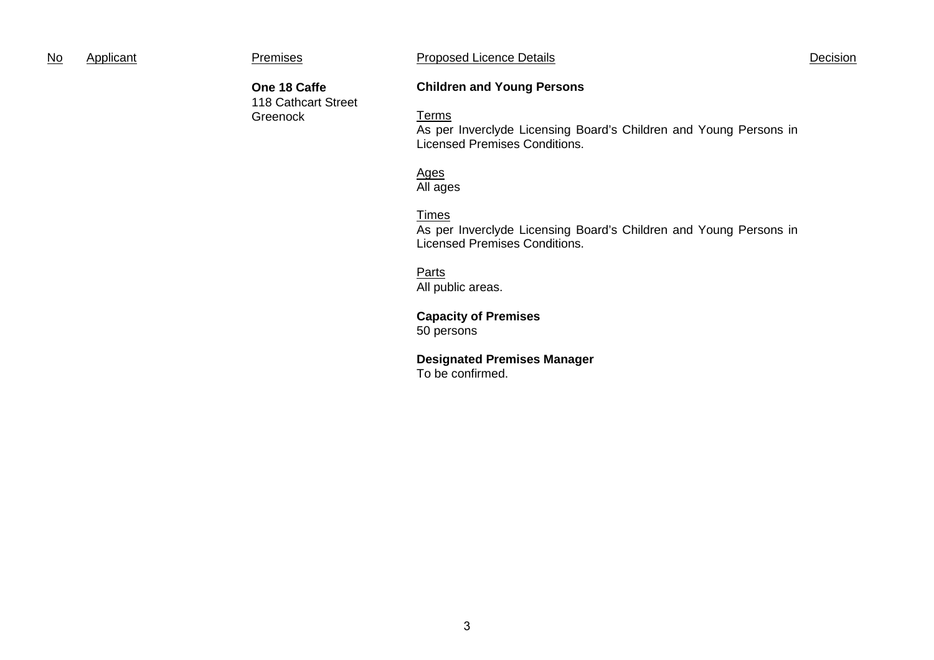| N٥ | Applicant |
|----|-----------|
|    |           |

**One 18 Caffe** 118 Cathcart Street

Greenock

**Children and Young Persons**

#### Terms

As per Inverclyde Licensing Board's Children and Young Persons in Licensed Premises Conditions.

#### Ages All ages

### Times

As per Inverclyde Licensing Board's Children and Young Persons in Licensed Premises Conditions.

# Parts

All public areas.

## **Capacity of Premises** 50 persons

# **Designated Premises Manager**

To be confirmed.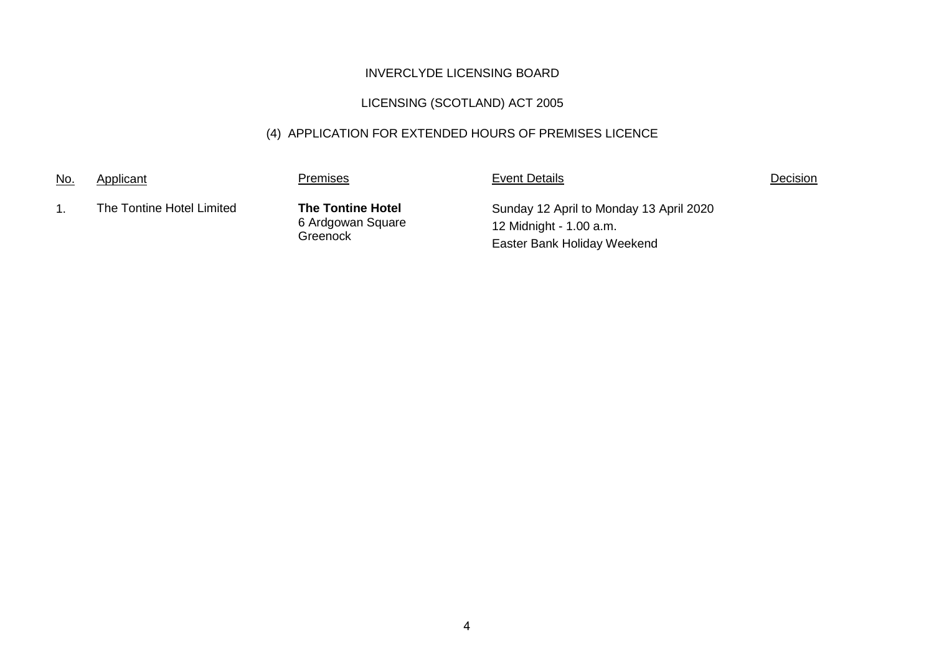# LICENSING (SCOTLAND) ACT 2005

# (4) APPLICATION FOR EXTENDED HOURS OF PREMISES LICENCE

| No. | Applicant                 | Premises                                                  | <b>Event Details</b>                                                                              | <b>Decision</b> |
|-----|---------------------------|-----------------------------------------------------------|---------------------------------------------------------------------------------------------------|-----------------|
|     | The Tontine Hotel Limited | <b>The Tontine Hotel</b><br>6 Ardgowan Square<br>Greenock | Sunday 12 April to Monday 13 April 2020<br>12 Midnight - 1.00 a.m.<br>Easter Bank Holiday Weekend |                 |